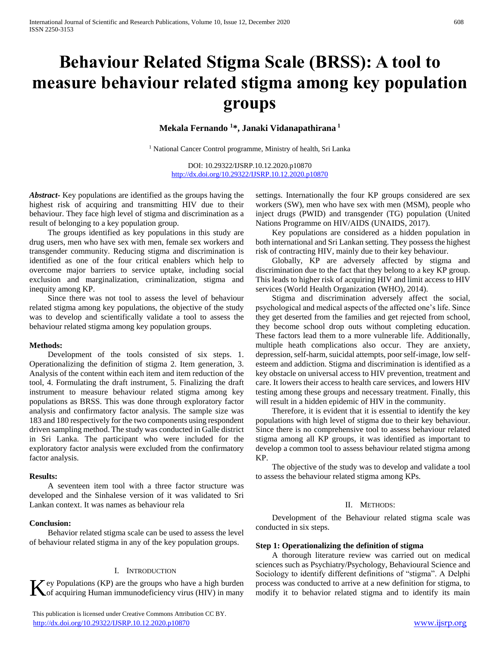# **Behaviour Related Stigma Scale (BRSS): A tool to measure behaviour related stigma among key population groups**

**Mekala Fernando <sup>1</sup>\*, Janaki Vidanapathirana <sup>1</sup>**

<sup>1</sup> National Cancer Control programme, Ministry of health, Sri Lanka

DOI: 10.29322/IJSRP.10.12.2020.p10870 <http://dx.doi.org/10.29322/IJSRP.10.12.2020.p10870>

*Abstract***-** Key populations are identified as the groups having the highest risk of acquiring and transmitting HIV due to their behaviour. They face high level of stigma and discrimination as a result of belonging to a key population group.

 The groups identified as key populations in this study are drug users, men who have sex with men, female sex workers and transgender community. Reducing stigma and discrimination is identified as one of the four critical enablers which help to overcome major barriers to service uptake, including social exclusion and marginalization, criminalization, stigma and inequity among KP.

 Since there was not tool to assess the level of behaviour related stigma among key populations, the objective of the study was to develop and scientifically validate a tool to assess the behaviour related stigma among key population groups.

#### **Methods:**

 Development of the tools consisted of six steps. 1. Operationalizing the definition of stigma 2. Item generation, 3. Analysis of the content within each item and item reduction of the tool, 4. Formulating the draft instrument, 5. Finalizing the draft instrument to measure behaviour related stigma among key populations as BRSS. This was done through exploratory factor analysis and confirmatory factor analysis. The sample size was 183 and 180 respectively for the two components using respondent driven sampling method. The study was conducted in Galle district in Sri Lanka. The participant who were included for the exploratory factor analysis were excluded from the confirmatory factor analysis.

#### **Results:**

 A seventeen item tool with a three factor structure was developed and the Sinhalese version of it was validated to Sri Lankan context. It was names as behaviour rela

#### **Conclusion:**

 Behavior related stigma scale can be used to assess the level of behaviour related stigma in any of the key population groups.

#### I. INTRODUCTION

 $\mathbf{Z}$  ey Populations (KP) are the groups who have a high burden

 This publication is licensed under Creative Commons Attribution CC BY. <http://dx.doi.org/10.29322/IJSRP.10.12.2020.p10870> [www.ijsrp.org](http://ijsrp.org/)

settings. Internationally the four KP groups considered are sex workers (SW), men who have sex with men (MSM), people who inject drugs (PWID) and transgender (TG) population (United Nations Programme on HIV/AIDS (UNAIDS, 2017).

 Key populations are considered as a hidden population in both international and Sri Lankan setting. They possess the highest risk of contracting HIV, mainly due to their key behaviour.

 Globally, KP are adversely affected by stigma and discrimination due to the fact that they belong to a key KP group. This leads to higher risk of acquiring HIV and limit access to HIV services (World Health Organization (WHO), 2014).

 Stigma and discrimination adversely affect the social, psychological and medical aspects of the affected one's life. Since they get deserted from the families and get rejected from school, they become school drop outs without completing education. These factors lead them to a more vulnerable life. Additionally, multiple heath complications also occur. They are anxiety, depression, self-harm, suicidal attempts, poor self-image, low selfesteem and addiction. Stigma and discrimination is identified as a key obstacle on universal access to HIV prevention, treatment and care. It lowers their access to health care services, and lowers HIV testing among these groups and necessary treatment. Finally, this will result in a hidden epidemic of HIV in the community.

 Therefore, it is evident that it is essential to identify the key populations with high level of stigma due to their key behaviour. Since there is no comprehensive tool to assess behaviour related stigma among all KP groups, it was identified as important to develop a common tool to assess behaviour related stigma among KP.

 The objective of the study was to develop and validate a tool to assess the behaviour related stigma among KPs.

#### II. METHODS:

 Development of the Behaviour related stigma scale was conducted in six steps.

#### **Step 1: Operationalizing the definition of stigma**

Key Populations (KP) are the groups who have a high burden process was conducted to arrive at a new definition for stigma, to modify at to behavior related stigma and to identify its main A thorough literature review was carried out on medical sciences such as Psychiatry/Psychology, Behavioural Science and Sociology to identify different definitions of "stigma". A Delphi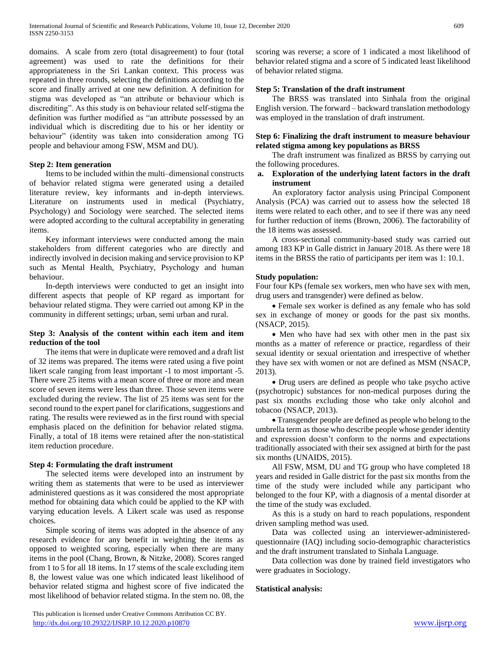domains. A scale from zero (total disagreement) to four (total agreement) was used to rate the definitions for their appropriateness in the Sri Lankan context. This process was repeated in three rounds, selecting the definitions according to the score and finally arrived at one new definition. A definition for stigma was developed as "an attribute or behaviour which is discrediting". As this study is on behaviour related self-stigma the definition was further modified as "an attribute possessed by an individual which is discrediting due to his or her identity or behaviour" (identity was taken into consideration among TG people and behaviour among FSW, MSM and DU).

## **Step 2: Item generation**

 Items to be included within the multi–dimensional constructs of behavior related stigma were generated using a detailed literature review, key informants and in-depth interviews. Literature on instruments used in medical (Psychiatry, Psychology) and Sociology were searched. The selected items were adopted according to the cultural acceptability in generating items.

 Key informant interviews were conducted among the main stakeholders from different categories who are directly and indirectly involved in decision making and service provision to KP such as Mental Health, Psychiatry, Psychology and human behaviour.

 In-depth interviews were conducted to get an insight into different aspects that people of KP regard as important for behaviour related stigma. They were carried out among KP in the community in different settings; urban, semi urban and rural.

# **Step 3: Analysis of the content within each item and item reduction of the tool**

 The items that were in duplicate were removed and a draft list of 32 items was prepared. The items were rated using a five point likert scale ranging from least important -1 to most important -5. There were 25 items with a mean score of three or more and mean score of seven items were less than three. Those seven items were excluded during the review. The list of 25 items was sent for the second round to the expert panel for clarifications, suggestions and rating. The results were reviewed as in the first round with special emphasis placed on the definition for behavior related stigma. Finally, a total of 18 items were retained after the non-statistical item reduction procedure.

## **Step 4: Formulating the draft instrument**

 The selected items were developed into an instrument by writing them as statements that were to be used as interviewer administered questions as it was considered the most appropriate method for obtaining data which could be applied to the KP with varying education levels. A Likert scale was used as response choices.

 Simple scoring of items was adopted in the absence of any research evidence for any benefit in weighting the items as opposed to weighted scoring, especially when there are many items in the pool (Chang, Brown, & Nitzke, 2008). Scores ranged from 1 to 5 for all 18 items. In 17 stems of the scale excluding item 8, the lowest value was one which indicated least likelihood of behavior related stigma and highest score of five indicated the most likelihood of behavior related stigma. In the stem no. 08, the scoring was reverse; a score of 1 indicated a most likelihood of behavior related stigma and a score of 5 indicated least likelihood of behavior related stigma.

# **Step 5: Translation of the draft instrument**

 The BRSS was translated into Sinhala from the original English version. The forward – backward translation methodology was employed in the translation of draft instrument.

# **Step 6: Finalizing the draft instrument to measure behaviour related stigma among key populations as BRSS**

 The draft instrument was finalized as BRSS by carrying out the following procedures.

# **a. Exploration of the underlying latent factors in the draft instrument**

 An exploratory factor analysis using Principal Component Analysis (PCA) was carried out to assess how the selected 18 items were related to each other, and to see if there was any need for further reduction of items (Brown, 2006). The factorability of the 18 items was assessed.

 A cross-sectional community-based study was carried out among 183 KP in Galle district in January 2018. As there were 18 items in the BRSS the ratio of participants per item was 1: 10.1.

# **Study population:**

Four four KPs (female sex workers, men who have sex with men, drug users and transgender) were defined as below.

 Female sex worker is defined as any female who has sold sex in exchange of money or goods for the past six months. (NSACP, 2015).

• Men who have had sex with other men in the past six months as a matter of reference or practice, regardless of their sexual identity or sexual orientation and irrespective of whether they have sex with women or not are defined as MSM (NSACP, 2013).

 Drug users are defined as people who take psycho active (psychotropic) substances for non-medical purposes during the past six months excluding those who take only alcohol and tobacoo (NSACP, 2013).

 Transgender people are defined as people who belong to the umbrella term as those who describe people whose gender identity and expression doesn't conform to the norms and expectations traditionally associated with their sex assigned at birth for the past six months (UNAIDS, 2015).

 All FSW, MSM, DU and TG group who have completed 18 years and resided in Galle district for the past six months from the time of the study were included while any participant who belonged to the four KP, with a diagnosis of a mental disorder at the time of the study was excluded.

 As this is a study on hard to reach populations, respondent driven sampling method was used.

 Data was collected using an interviewer-administeredquestionnaire (IAQ) including socio-demographic characteristics and the draft instrument translated to Sinhala Language.

 Data collection was done by trained field investigators who were graduates in Sociology.

## **Statistical analysis:**

 This publication is licensed under Creative Commons Attribution CC BY. <http://dx.doi.org/10.29322/IJSRP.10.12.2020.p10870> [www.ijsrp.org](http://ijsrp.org/)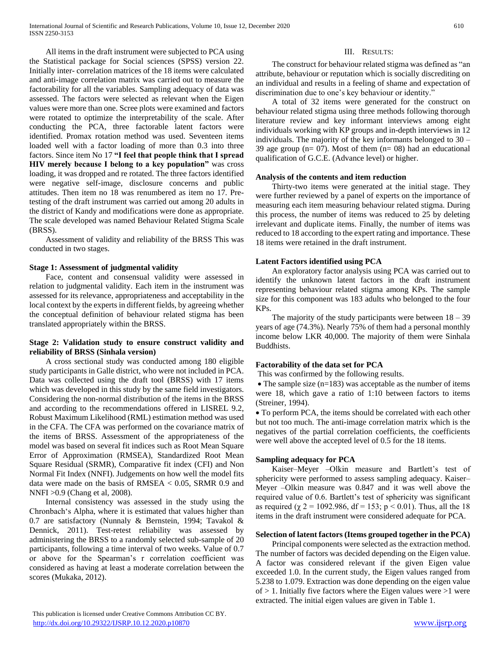All items in the draft instrument were subjected to PCA using the Statistical package for Social sciences (SPSS) version 22. Initially inter- correlation matrices of the 18 items were calculated and anti-image correlation matrix was carried out to measure the factorability for all the variables. Sampling adequacy of data was assessed. The factors were selected as relevant when the Eigen values were more than one. Scree plots were examined and factors were rotated to optimize the interpretability of the scale. After conducting the PCA, three factorable latent factors were identified. Promax rotation method was used. Seventeen items loaded well with a factor loading of more than 0.3 into three factors. Since item No 17 **"I feel that people think that I spread HIV merely because I belong to a key population"** was cross loading, it was dropped and re rotated. The three factors identified were negative self-image, disclosure concerns and public attitudes. Then item no 18 was renumbered as item no 17. Pretesting of the draft instrument was carried out among 20 adults in the district of Kandy and modifications were done as appropriate. The scale developed was named Behaviour Related Stigma Scale (BRSS).

 Assessment of validity and reliability of the BRSS This was conducted in two stages.

# **Stage 1: Assessment of judgmental validity**

 Face, content and consensual validity were assessed in relation to judgmental validity. Each item in the instrument was assessed for its relevance, appropriateness and acceptability in the local context by the experts in different fields, by agreeing whether the conceptual definition of behaviour related stigma has been translated appropriately within the BRSS.

# **Stage 2: Validation study to ensure construct validity and reliability of BRSS (Sinhala version)**

 A cross sectional study was conducted among 180 eligible study participants in Galle district, who were not included in PCA. Data was collected using the draft tool (BRSS) with 17 items which was developed in this study by the same field investigators. Considering the non-normal distribution of the items in the BRSS and according to the recommendations offered in LISREL 9.2, Robust Maximum Likelihood (RML) estimation method was used in the CFA. The CFA was performed on the covariance matrix of the items of BRSS. Assessment of the appropriateness of the model was based on several fit indices such as Root Mean Square Error of Approximation (RMSEA), Standardized Root Mean Square Residual (SRMR), Comparative fit index (CFI) and Non Normal Fit Index (NNFI). Judgements on how well the model fits data were made on the basis of RMSEA < 0.05, SRMR 0.9 and NNFI >0.9 (Chang et al, 2008).

 Internal consistency was assessed in the study using the Chronbach's Alpha, where it is estimated that values higher than 0.7 are satisfactory (Nunnaly & Bernstein, 1994; Tavakol & Dennick, 2011). Test-retest reliability was assessed by administering the BRSS to a randomly selected sub-sample of 20 participants, following a time interval of two weeks. Value of 0.7 or above for the Spearman's r correlation coefficient was considered as having at least a moderate correlation between the scores (Mukaka, 2012).

## III. RESULTS:

 The construct for behaviour related stigma was defined as "an attribute, behaviour or reputation which is socially discrediting on an individual and results in a feeling of shame and expectation of discrimination due to one's key behaviour or identity."

 A total of 32 items were generated for the construct on behaviour related stigma using three methods following thorough literature review and key informant interviews among eight individuals working with KP groups and in-depth interviews in 12 individuals. The majority of the key informants belonged to 30 – 39 age group ( $n= 07$ ). Most of them ( $n= 08$ ) had an educational qualification of G.C.E. (Advance level) or higher.

# **Analysis of the contents and item reduction**

 Thirty-two items were generated at the initial stage. They were further reviewed by a panel of experts on the importance of measuring each item measuring behaviour related stigma. During this process, the number of items was reduced to 25 by deleting irrelevant and duplicate items. Finally, the number of items was reduced to 18 according to the expert rating and importance. These 18 items were retained in the draft instrument.

## **Latent Factors identified using PCA**

 An exploratory factor analysis using PCA was carried out to identify the unknown latent factors in the draft instrument representing behaviour related stigma among KPs. The sample size for this component was 183 adults who belonged to the four KPs.

The majority of the study participants were between  $18 - 39$ years of age (74.3%). Nearly 75% of them had a personal monthly income below LKR 40,000. The majority of them were Sinhala Buddhists.

# **Factorability of the data set for PCA**

This was confirmed by the following results.

 $\bullet$  The sample size (n=183) was acceptable as the number of items were 18, which gave a ratio of 1:10 between factors to items (Streiner, 1994).

 To perform PCA, the items should be correlated with each other but not too much. The anti-image correlation matrix which is the negatives of the partial correlation coefficients, the coefficients were well above the accepted level of 0.5 for the 18 items.

# **Sampling adequacy for PCA**

 Kaiser–Meyer –Olkin measure and Bartlett's test of sphericity were performed to assess sampling adequacy. Kaiser– Meyer –Olkin measure was 0.847 and it was well above the required value of 0.6. Bartlett's test of sphericity was significant as required ( $\chi$  2 = 1092.986, df = 153; p < 0.01). Thus, all the 18 items in the draft instrument were considered adequate for PCA.

## **Selection of latent factors (Items grouped together in the PCA)**

 Principal components were selected as the extraction method. The number of factors was decided depending on the Eigen value. A factor was considered relevant if the given Eigen value exceeded 1.0. In the current study, the Eigen values ranged from 5.238 to 1.079. Extraction was done depending on the eigen value of  $> 1$ . Initially five factors where the Eigen values were  $>1$  were extracted. The initial eigen values are given in Table 1.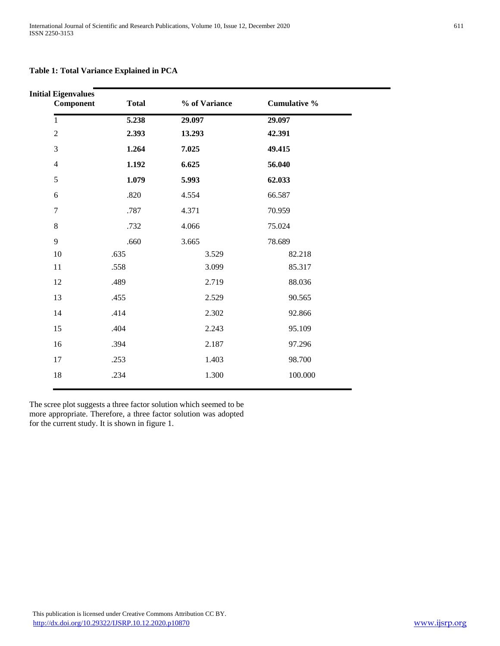**Table 1: Total Variance Explained in PCA**

| <b>Initial Eigenvalues</b><br>Component | <b>Total</b> | % of Variance | <b>Cumulative %</b> |  |
|-----------------------------------------|--------------|---------------|---------------------|--|
| $\mathbf{1}$                            | 5.238        | 29.097        | 29.097              |  |
| $\overline{2}$                          | 2.393        | 13.293        | 42.391              |  |
| 3                                       | 1.264        | 7.025         | 49.415              |  |
| $\overline{4}$                          | 1.192        | 6.625         | 56.040              |  |
| 5                                       | 1.079        | 5.993         | 62.033              |  |
| 6                                       | .820         | 4.554         | 66.587              |  |
| $\overline{7}$                          | .787         | 4.371         | 70.959              |  |
| $8\,$                                   | .732         | 4.066         | 75.024              |  |
| 9                                       | .660         | 3.665         | 78.689              |  |
| 10                                      | .635         | 3.529         | 82.218              |  |
| 11                                      | .558         | 3.099         | 85.317              |  |
| 12                                      | .489         | 2.719         | 88.036              |  |
| 13                                      | .455         | 2.529         | 90.565              |  |
| 14                                      | .414         | 2.302         | 92.866              |  |
| 15                                      | .404         | 2.243         | 95.109              |  |
| 16                                      | .394         | 2.187         | 97.296              |  |
| 17                                      | .253         | 1.403         | 98.700              |  |
| 18                                      | .234         | 1.300         | 100.000             |  |
|                                         |              |               |                     |  |

The scree plot suggests a three factor solution which seemed to be more appropriate. Therefore, a three factor solution was adopted for the current study. It is shown in figure 1.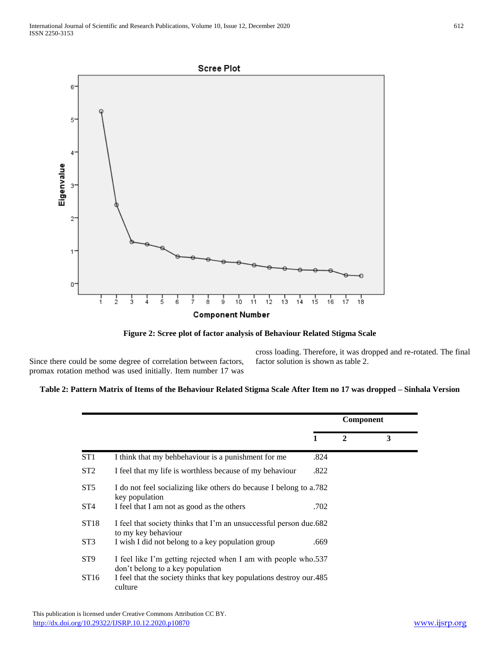

**Figure 2: Scree plot of factor analysis of Behaviour Related Stigma Scale**

Since there could be some degree of correlation between factors, promax rotation method was used initially. Item number 17 was

cross loading. Therefore, it was dropped and re-rotated. The final factor solution is shown as table 2.

## **Table 2: Pattern Matrix of Items of the Behaviour Related Stigma Scale After Item no 17 was dropped – Sinhala Version**

|                  |                                                                                                    | Component |              |   |
|------------------|----------------------------------------------------------------------------------------------------|-----------|--------------|---|
|                  |                                                                                                    | 1         | $\mathbf{2}$ | 3 |
| ST <sub>1</sub>  | I think that my behbehaviour is a punishment for me                                                | .824      |              |   |
| ST <sub>2</sub>  | I feel that my life is worthless because of my behaviour                                           | .822      |              |   |
| ST <sub>5</sub>  | I do not feel socializing like others do because I belong to a.782<br>key population               |           |              |   |
| ST <sub>4</sub>  | I feel that I am not as good as the others                                                         | .702      |              |   |
| ST <sub>18</sub> | I feel that society thinks that I'm an unsuccessful person due.682<br>to my key behaviour          |           |              |   |
| ST <sub>3</sub>  | I wish I did not belong to a key population group                                                  | .669      |              |   |
| ST <sub>9</sub>  | I feel like I'm getting rejected when I am with people who.537<br>don't belong to a key population |           |              |   |
| ST16             | I feel that the society thinks that key populations destroy our. 485<br>culture                    |           |              |   |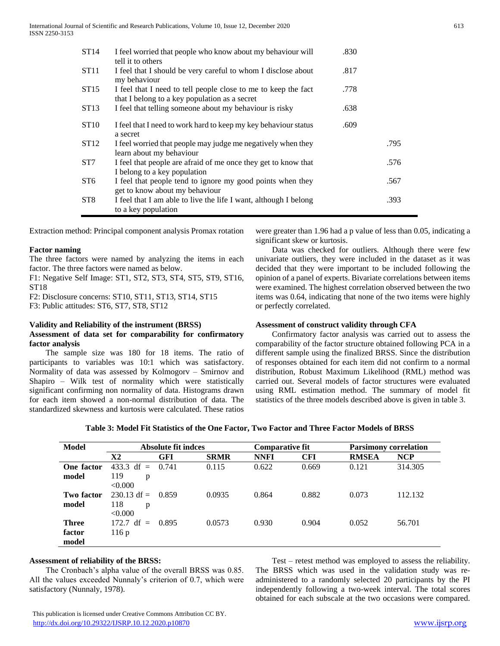| ST14            | I feel worried that people who know about my behaviour will<br>tell it to others                                | .830 |      |
|-----------------|-----------------------------------------------------------------------------------------------------------------|------|------|
| ST11            | I feel that I should be very careful to whom I disclose about<br>my behaviour                                   | .817 |      |
| ST15            | I feel that I need to tell people close to me to keep the fact<br>that I belong to a key population as a secret | .778 |      |
| ST13            | I feel that telling someone about my behaviour is risky                                                         | .638 |      |
| <b>ST10</b>     | I feel that I need to work hard to keep my key behaviour status<br>a secret                                     | .609 |      |
| <b>ST12</b>     | I feel worried that people may judge me negatively when they<br>learn about my behaviour                        |      | .795 |
| ST7             | I feel that people are afraid of me once they get to know that<br>I belong to a key population                  |      | .576 |
| ST <sub>6</sub> | I feel that people tend to ignore my good points when they<br>get to know about my behaviour                    |      | .567 |
| ST <sub>8</sub> | I feel that I am able to live the life I want, although I belong<br>to a key population                         |      | .393 |

Extraction method: Principal component analysis Promax rotation

#### **Factor naming**

The three factors were named by analyzing the items in each factor. The three factors were named as below.

F1: Negative Self Image: ST1, ST2, ST3, ST4, ST5, ST9, ST16, ST18

F2: Disclosure concerns: ST10, ST11, ST13, ST14, ST15

F3: Public attitudes: ST6, ST7, ST8, ST12

#### **Validity and Reliability of the instrument (BRSS)**

## **Assessment of data set for comparability for confirmatory factor analysis**

 The sample size was 180 for 18 items. The ratio of participants to variables was 10:1 which was satisfactory. Normality of data was assessed by Kolmogorv – Smirnov and Shapiro – Wilk test of normality which were statistically significant confirming non normality of data. Histograms drawn for each item showed a non-normal distribution of data. The standardized skewness and kurtosis were calculated. These ratios were greater than 1.96 had a p value of less than 0.05, indicating a significant skew or kurtosis.

 Data was checked for outliers. Although there were few univariate outliers, they were included in the dataset as it was decided that they were important to be included following the opinion of a panel of experts. Bivariate correlations between items were examined. The highest correlation observed between the two items was 0.64, indicating that none of the two items were highly or perfectly correlated.

#### **Assessment of construct validity through CFA**

 Confirmatory factor analysis was carried out to assess the comparability of the factor structure obtained following PCA in a different sample using the finalized BRSS. Since the distribution of responses obtained for each item did not confirm to a normal distribution, Robust Maximum Likelihood (RML) method was carried out. Several models of factor structures were evaluated using RML estimation method. The summary of model fit statistics of the three models described above is given in table 3.

|  | Table 3: Model Fit Statistics of the One Factor, Two Factor and Three Factor Models of BRSS |
|--|---------------------------------------------------------------------------------------------|
|--|---------------------------------------------------------------------------------------------|

| <b>Model</b> | Absolute fit indces         |            |             | <b>Comparative fit</b> |            | <b>Parsimony correlation</b> |            |
|--------------|-----------------------------|------------|-------------|------------------------|------------|------------------------------|------------|
|              | X2                          | <b>GFI</b> | <b>SRMR</b> | <b>NNFI</b>            | <b>CFI</b> | <b>RMSEA</b>                 | <b>NCP</b> |
| One factor   | 433.3 df = $0.741$          |            | 0.115       | 0.622                  | 0.669      | 0.121                        | 314.305    |
| model        | 119<br>p                    |            |             |                        |            |                              |            |
|              | < 0.000                     |            |             |                        |            |                              |            |
| Two factor   | $230.13 \text{ df} = 0.859$ |            | 0.0935      | 0.864                  | 0.882      | 0.073                        | 112.132    |
| model        | 118<br>p                    |            |             |                        |            |                              |            |
|              | < 0.000                     |            |             |                        |            |                              |            |
| <b>Three</b> | $172.7 \text{ df} = 0.895$  |            | 0.0573      | 0.930                  | 0.904      | 0.052                        | 56.701     |
| factor       | 116p                        |            |             |                        |            |                              |            |
| model        |                             |            |             |                        |            |                              |            |

#### **Assessment of reliability of the BRSS:**

 The Cronbach's alpha value of the overall BRSS was 0.85. All the values exceeded Nunnaly's criterion of 0.7, which were satisfactory (Nunnaly, 1978).

 Test – retest method was employed to assess the reliability. The BRSS which was used in the validation study was readministered to a randomly selected 20 participants by the PI independently following a two-week interval. The total scores obtained for each subscale at the two occasions were compared.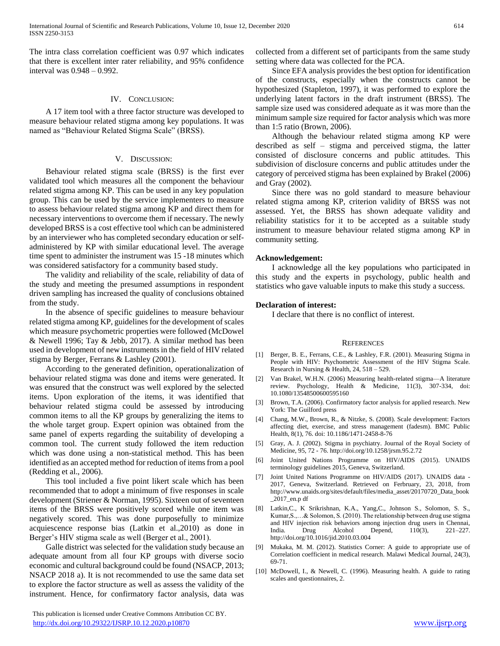The intra class correlation coefficient was 0.97 which indicates that there is excellent inter rater reliability, and 95% confidence interval was 0.948 – 0.992.

#### IV. CONCLUSION:

 A 17 item tool with a three factor structure was developed to measure behaviour related stigma among key populations. It was named as "Behaviour Related Stigma Scale" (BRSS).

#### V. DISCUSSION:

 Behaviour related stigma scale (BRSS) is the first ever validated tool which measures all the component the behaviour related stigma among KP. This can be used in any key population group. This can be used by the service implementers to measure to assess behaviour related stigma among KP and direct them for necessary interventions to overcome them if necessary. The newly developed BRSS is a cost effective tool which can be administered by an interviewer who has completed secondary education or selfadministered by KP with similar educational level. The average time spent to administer the instrument was 15 -18 minutes which was considered satisfactory for a community based study.

 The validity and reliability of the scale, reliability of data of the study and meeting the presumed assumptions in respondent driven sampling has increased the quality of conclusions obtained from the study.

 In the absence of specific guidelines to measure behaviour related stigma among KP, guidelines for the development of scales which measure psychometric properties were followed (McDowel & Newell 1996; Tay & Jebb, 2017). A similar method has been used in development of new instruments in the field of HIV related stigma by Berger, Ferrans & Lashley (2001).

 According to the generated definition, operationalization of behaviour related stigma was done and items were generated. It was ensured that the construct was well explored by the selected items. Upon exploration of the items, it was identified that behaviour related stigma could be assessed by introducing common items to all the KP groups by generalizing the items to the whole target group. Expert opinion was obtained from the same panel of experts regarding the suitability of developing a common tool. The current study followed the item reduction which was done using a non-statistical method. This has been identified as an accepted method for reduction of items from a pool (Redding et al., 2006).

 This tool included a five point likert scale which has been recommended that to adopt a minimum of five responses in scale development (Striener & Norman, 1995). Sixteen out of seventeen items of the BRSS were positively scored while one item was negatively scored. This was done purposefully to minimize acquiescence response bias (Latkin et al.,2010) as done in Berger's HIV stigma scale as well (Berger et al., 2001).

 Galle district was selected for the validation study because an adequate amount from all four KP groups with diverse socio economic and cultural background could be found (NSACP, 2013; NSACP 2018 a). It is not recommended to use the same data set to explore the factor structure as well as assess the validity of the instrument. Hence, for confirmatory factor analysis, data was

 This publication is licensed under Creative Commons Attribution CC BY. <http://dx.doi.org/10.29322/IJSRP.10.12.2020.p10870> [www.ijsrp.org](http://ijsrp.org/)

collected from a different set of participants from the same study setting where data was collected for the PCA.

 Since EFA analysis provides the best option for identification of the constructs, especially when the constructs cannot be hypothesized (Stapleton, 1997), it was performed to explore the underlying latent factors in the draft instrument (BRSS). The sample size used was considered adequate as it was more than the minimum sample size required for factor analysis which was more than 1:5 ratio (Brown, 2006).

 Although the behaviour related stigma among KP were described as self – stigma and perceived stigma, the latter consisted of disclosure concerns and public attitudes. This subdivision of disclosure concerns and public attitudes under the category of perceived stigma has been explained by Brakel (2006) and Gray (2002).

 Since there was no gold standard to measure behaviour related stigma among KP, criterion validity of BRSS was not assessed. Yet, the BRSS has shown adequate validity and reliability statistics for it to be accepted as a suitable study instrument to measure behaviour related stigma among KP in community setting.

#### **Acknowledgement:**

 I acknowledge all the key populations who participated in this study and the experts in psychology, public health and statistics who gave valuable inputs to make this study a success.

#### **Declaration of interest:**

I declare that there is no conflict of interest.

#### **REFERENCES**

- [1] Berger, B. E., Ferrans, C.E., & Lashley, F.R. (2001). Measuring Stigma in People with HIV: Psychometric Assessment of the HIV Stigma Scale. Research in Nursing & Health, 24, 518 – 529.
- [2] Van Brakel, W.H.N. (2006) Measuring health-related stigma—A literature review. Psychology, Health & Medicine, 11(3), 307-334, doi: 10.1080/13548500600595160
- [3] Brown, T.A. (2006). Confirmatory factor analysis for applied research. New York: The Guilford press
- [4] Chang, M.W., Brown, R., & Nitzke, S. (2008). Scale development: Factors affecting diet, exercise, and stress management (fadesm). BMC Public Health, 8(1), 76. doi: 10.1186/1471-2458-8-76
- [5] Gray, A. J. (2002). Stigma in psychiatry. Journal of the Royal Society of Medicine, 95, 72 - 76. http://doi.org/10.1258/jrsm.95.2.72
- [6] Joint United Nations Programme on HIV/AIDS (2015). UNAIDS terminology guidelines 2015, Geneva, Switzerland.
- [7] Joint United Nations Programme on HIV/AIDS (2017). UNAIDS data 2017, Geneva, Switzerland. Retrieved on Ferbruary, 23, 2018, from http://www.unaids.org/sites/default/files/media\_asset/20170720\_Data\_book \_2017\_en.p df
- [8] Latkin,C., K Srikrishnan, K.A., Yang,C., Johnson S., Solomon, S. S., Kumar,S.,…& Solomon, S. (2010). The relationship between drug use stigma and HIV injection risk behaviors among injection drug users in Chennai, India. Drug Alcohol Depend,  $110(3)$ ,  $221-227$ . India. Drug Alcohol Depend, 110(3), http://doi.org/10.1016/jid.2010.03.004
- [9] Mukaka, M. M. (2012). Statistics Corner: A guide to appropriate use of Correlation coefficient in medical research. Malawi Medical Journal, 24(3), 69-71.
- [10] McDowell, I., & Newell, C. (1996). Measuring health. A guide to rating scales and questionnaires, 2.